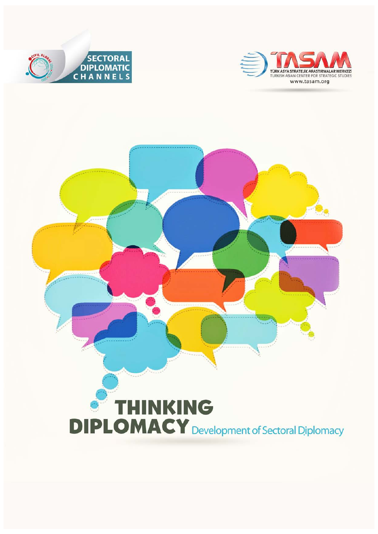



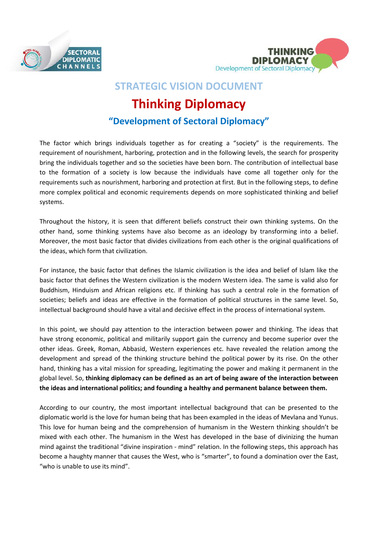



# **STRATEGIC VISION DOCUMENT**

# **Thinking Diplomacy**

## **"Development of Sectoral Diplomacy"**

The factor which brings individuals together as for creating a "society" is the requirements. The requirement of nourishment, harboring, protection and in the following levels, the search for prosperity bring the individuals together and so the societies have been born. The contribution of intellectual base to the formation of a society is low because the individuals have come all together only for the requirements such as nourishment, harboring and protection at first. But in the following steps, to define more complex political and economic requirements depends on more sophisticated thinking and belief systems.

Throughout the history, it is seen that different beliefs construct their own thinking systems. On the other hand, some thinking systems have also become as an ideology by transforming into a belief. Moreover, the most basic factor that divides civilizations from each other is the original qualifications of the ideas, which form that civilization.

For instance, the basic factor that defines the Islamic civilization is the idea and belief of Islam like the basic factor that defines the Western civilization is the modern Western idea. The same is valid also for Buddhism, Hinduism and African religions etc. If thinking has such a central role in the formation of societies; beliefs and ideas are effective in the formation of political structures in the same level. So, intellectual background should have a vital and decisive effect in the process of international system.

In this point, we should pay attention to the interaction between power and thinking. The ideas that have strong economic, political and militarily support gain the currency and become superior over the other ideas. Greek, Roman, Abbasid, Western experiences etc. have revealed the relation among the development and spread of the thinking structure behind the political power by its rise. On the other hand, thinking has a vital mission for spreading, legitimating the power and making it permanent in the global level. So, **thinking diplomacy can be defined as an art of being aware of the interaction between the ideas and international politics; and founding a healthy and permanent balance between them.**

According to our country, the most important intellectual background that can be presented to the diplomatic world is the love for human being that has been exampled in the ideas of Mevlana and Yunus. This love for human being and the comprehension of humanism in the Western thinking shouldn't be mixed with each other. The humanism in the West has developed in the base of divinizing the human mind against the traditional "divine inspiration - mind" relation. In the following steps, this approach has become a haughty manner that causes the West, who is "smarter", to found a domination over the East, "who is unable to use its mind".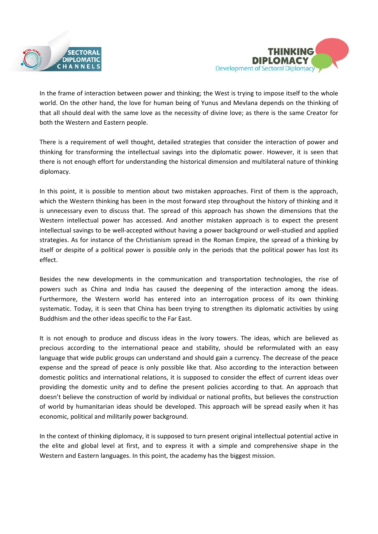



In the frame of interaction between power and thinking; the West is trying to impose itself to the whole world. On the other hand, the love for human being of Yunus and Mevlana depends on the thinking of that all should deal with the same love as the necessity of divine love; as there is the same Creator for both the Western and Eastern people.

There is a requirement of well thought, detailed strategies that consider the interaction of power and thinking for transforming the intellectual savings into the diplomatic power. However, it is seen that there is not enough effort for understanding the historical dimension and multilateral nature of thinking diplomacy.

In this point, it is possible to mention about two mistaken approaches. First of them is the approach, which the Western thinking has been in the most forward step throughout the history of thinking and it is unnecessary even to discuss that. The spread of this approach has shown the dimensions that the Western intellectual power has accessed. And another mistaken approach is to expect the present intellectual savings to be well-accepted without having a power background or well-studied and applied strategies. As for instance of the Christianism spread in the Roman Empire, the spread of a thinking by itself or despite of a political power is possible only in the periods that the political power has lost its effect.

Besides the new developments in the communication and transportation technologies, the rise of powers such as China and India has caused the deepening of the interaction among the ideas. Furthermore, the Western world has entered into an interrogation process of its own thinking systematic. Today, it is seen that China has been trying to strengthen its diplomatic activities by using Buddhism and the other ideas specific to the Far East.

It is not enough to produce and discuss ideas in the ivory towers. The ideas, which are believed as precious according to the international peace and stability, should be reformulated with an easy language that wide public groups can understand and should gain a currency. The decrease of the peace expense and the spread of peace is only possible like that. Also according to the interaction between domestic politics and international relations, it is supposed to consider the effect of current ideas over providing the domestic unity and to define the present policies according to that. An approach that doesn't believe the construction of world by individual or national profits, but believes the construction of world by humanitarian ideas should be developed. This approach will be spread easily when it has economic, political and militarily power background.

In the context of thinking diplomacy, it is supposed to turn present original intellectual potential active in the elite and global level at first, and to express it with a simple and comprehensive shape in the Western and Eastern languages. In this point, the academy has the biggest mission.